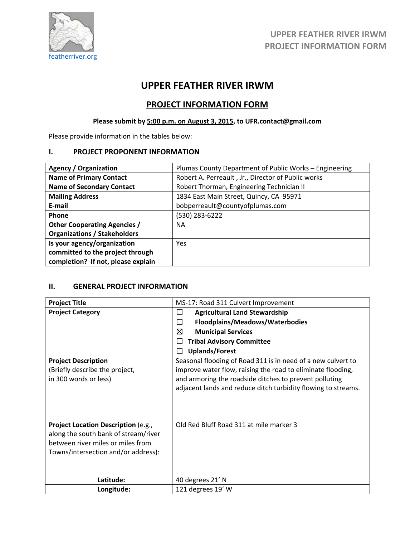

# **UPPER FEATHER RIVER IRWM**

# **PROJECT INFORMATION FORM**

# **Please submit by 5:00 p.m. on August 3, 2015, to UFR.contact@gmail.com**

Please provide information in the tables below:

#### **I. PROJECT PROPONENT INFORMATION**

| <b>Agency / Organization</b>        | Plumas County Department of Public Works - Engineering |
|-------------------------------------|--------------------------------------------------------|
| <b>Name of Primary Contact</b>      | Robert A. Perreault, Jr., Director of Public works     |
| <b>Name of Secondary Contact</b>    | Robert Thorman, Engineering Technician II              |
| <b>Mailing Address</b>              | 1834 East Main Street, Quincy, CA 95971                |
| E-mail                              | bobperreault@countyofplumas.com                        |
| <b>Phone</b>                        | (530) 283-6222                                         |
| <b>Other Cooperating Agencies /</b> | <b>NA</b>                                              |
| <b>Organizations / Stakeholders</b> |                                                        |
| Is your agency/organization         | Yes                                                    |
| committed to the project through    |                                                        |
| completion? If not, please explain  |                                                        |

### **II. GENERAL PROJECT INFORMATION**

| <b>Project Title</b>                                                                                                                                    | MS-17: Road 311 Culvert Improvement                                                                                                                                                                                                                    |
|---------------------------------------------------------------------------------------------------------------------------------------------------------|--------------------------------------------------------------------------------------------------------------------------------------------------------------------------------------------------------------------------------------------------------|
| <b>Project Category</b>                                                                                                                                 | <b>Agricultural Land Stewardship</b><br>ப                                                                                                                                                                                                              |
|                                                                                                                                                         | Floodplains/Meadows/Waterbodies<br>П                                                                                                                                                                                                                   |
|                                                                                                                                                         | ⊠<br><b>Municipal Services</b>                                                                                                                                                                                                                         |
|                                                                                                                                                         | <b>Tribal Advisory Committee</b>                                                                                                                                                                                                                       |
|                                                                                                                                                         | <b>Uplands/Forest</b>                                                                                                                                                                                                                                  |
| <b>Project Description</b><br>(Briefly describe the project,<br>in 300 words or less)                                                                   | Seasonal flooding of Road 311 is in need of a new culvert to<br>improve water flow, raising the road to eliminate flooding,<br>and armoring the roadside ditches to prevent polluting<br>adjacent lands and reduce ditch turbidity flowing to streams. |
| Project Location Description (e.g.,<br>along the south bank of stream/river<br>between river miles or miles from<br>Towns/intersection and/or address): | Old Red Bluff Road 311 at mile marker 3                                                                                                                                                                                                                |
| Latitude:                                                                                                                                               | 40 degrees 21' N                                                                                                                                                                                                                                       |
| Longitude:                                                                                                                                              | 121 degrees 19' W                                                                                                                                                                                                                                      |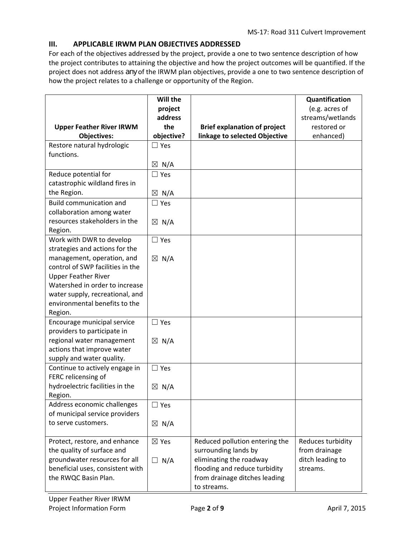## **III. APPLICABLE IRWM PLAN OBJECTIVES ADDRESSED**

For each of the objectives addressed by the project, provide a one to two sentence description of how the project contributes to attaining the objective and how the project outcomes will be quantified. If the project does not address *any* of the IRWM plan objectives, provide a one to two sentence description of how the project relates to a challenge or opportunity of the Region.

|                                                          | Will the        |                                     | Quantification    |
|----------------------------------------------------------|-----------------|-------------------------------------|-------------------|
|                                                          | project         |                                     | (e.g. acres of    |
|                                                          | address         |                                     | streams/wetlands  |
| <b>Upper Feather River IRWM</b>                          | the             | <b>Brief explanation of project</b> | restored or       |
| <b>Objectives:</b>                                       | objective?      | linkage to selected Objective       | enhanced)         |
| Restore natural hydrologic                               | $\Box$ Yes      |                                     |                   |
| functions.                                               |                 |                                     |                   |
|                                                          | $\boxtimes$ N/A |                                     |                   |
| Reduce potential for                                     | $\Box$ Yes      |                                     |                   |
| catastrophic wildland fires in                           |                 |                                     |                   |
| the Region.                                              | $\boxtimes$ N/A |                                     |                   |
| <b>Build communication and</b>                           | $\Box$ Yes      |                                     |                   |
| collaboration among water                                |                 |                                     |                   |
| resources stakeholders in the                            | $\boxtimes$ N/A |                                     |                   |
| Region.                                                  |                 |                                     |                   |
| Work with DWR to develop                                 | $\Box$ Yes      |                                     |                   |
| strategies and actions for the                           |                 |                                     |                   |
| management, operation, and                               | $\boxtimes$ N/A |                                     |                   |
| control of SWP facilities in the                         |                 |                                     |                   |
| <b>Upper Feather River</b>                               |                 |                                     |                   |
| Watershed in order to increase                           |                 |                                     |                   |
| water supply, recreational, and                          |                 |                                     |                   |
| environmental benefits to the                            |                 |                                     |                   |
| Region.                                                  |                 |                                     |                   |
| Encourage municipal service                              | $\Box$ Yes      |                                     |                   |
| providers to participate in<br>regional water management |                 |                                     |                   |
| actions that improve water                               | $\boxtimes$ N/A |                                     |                   |
| supply and water quality.                                |                 |                                     |                   |
| Continue to actively engage in                           | $\Box$ Yes      |                                     |                   |
| FERC relicensing of                                      |                 |                                     |                   |
| hydroelectric facilities in the                          | $\boxtimes$ N/A |                                     |                   |
| Region.                                                  |                 |                                     |                   |
| Address economic challenges                              | $\Box$ Yes      |                                     |                   |
| of municipal service providers                           |                 |                                     |                   |
| to serve customers.                                      | $\boxtimes$ N/A |                                     |                   |
|                                                          |                 |                                     |                   |
| Protect, restore, and enhance                            | $\boxtimes$ Yes | Reduced pollution entering the      | Reduces turbidity |
| the quality of surface and                               |                 | surrounding lands by                | from drainage     |
| groundwater resources for all                            | N/A<br>⊔        | eliminating the roadway             | ditch leading to  |
| beneficial uses, consistent with                         |                 | flooding and reduce turbidity       | streams.          |
| the RWQC Basin Plan.                                     |                 | from drainage ditches leading       |                   |
|                                                          |                 | to streams.                         |                   |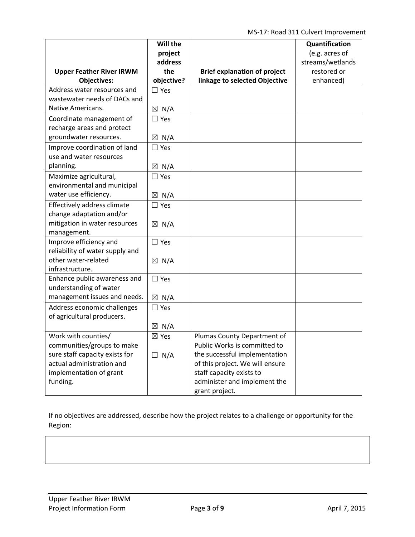MS‐17: Road 311 Culvert Improvement

|                                 | Will the           |                                     | Quantification   |
|---------------------------------|--------------------|-------------------------------------|------------------|
|                                 | project            |                                     | (e.g. acres of   |
|                                 | address            |                                     | streams/wetlands |
| <b>Upper Feather River IRWM</b> | the                | <b>Brief explanation of project</b> | restored or      |
| <b>Objectives:</b>              | objective?         | linkage to selected Objective       | enhanced)        |
| Address water resources and     | $\Box$ Yes         |                                     |                  |
| wastewater needs of DACs and    |                    |                                     |                  |
| Native Americans.               | $\boxtimes$ N/A    |                                     |                  |
| Coordinate management of        | $\Box$ Yes         |                                     |                  |
| recharge areas and protect      |                    |                                     |                  |
| groundwater resources.          | $\boxtimes$ N/A    |                                     |                  |
| Improve coordination of land    | $\Box$ Yes         |                                     |                  |
| use and water resources         |                    |                                     |                  |
| planning.                       | $\boxtimes$ N/A    |                                     |                  |
| Maximize agricultural,          | $\Box$ Yes         |                                     |                  |
| environmental and municipal     |                    |                                     |                  |
| water use efficiency.           | $\boxtimes$ N/A    |                                     |                  |
| Effectively address climate     | $\Box$ Yes         |                                     |                  |
| change adaptation and/or        |                    |                                     |                  |
| mitigation in water resources   | $\boxtimes$ N/A    |                                     |                  |
| management.                     |                    |                                     |                  |
| Improve efficiency and          | $\Box$ Yes         |                                     |                  |
| reliability of water supply and |                    |                                     |                  |
| other water-related             | $\boxtimes$ N/A    |                                     |                  |
| infrastructure.                 |                    |                                     |                  |
| Enhance public awareness and    | $\square$ Yes      |                                     |                  |
| understanding of water          |                    |                                     |                  |
| management issues and needs.    | $\boxtimes$ N/A    |                                     |                  |
| Address economic challenges     | $\Box$ Yes         |                                     |                  |
| of agricultural producers.      |                    |                                     |                  |
|                                 | N/A<br>$\boxtimes$ |                                     |                  |
| Work with counties/             | ⊠ Yes              | Plumas County Department of         |                  |
| communities/groups to make      |                    | Public Works is committed to        |                  |
| sure staff capacity exists for  | $\Box$ N/A         | the successful implementation       |                  |
| actual administration and       |                    | of this project. We will ensure     |                  |
| implementation of grant         |                    | staff capacity exists to            |                  |
| funding.                        |                    | administer and implement the        |                  |
|                                 |                    | grant project.                      |                  |

If no objectives are addressed, describe how the project relates to a challenge or opportunity for the Region: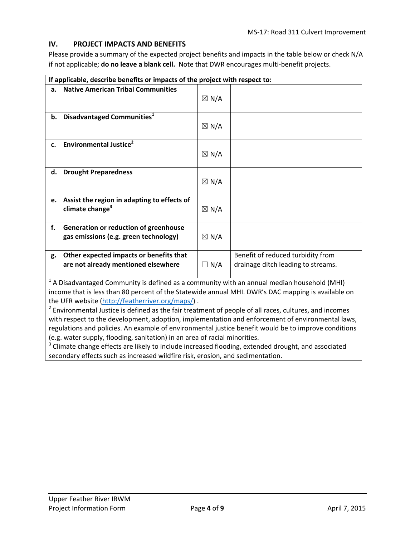### **IV. PROJECT IMPACTS AND BENEFITS**

Please provide a summary of the expected project benefits and impacts in the table below or check N/A if not applicable; **do no leave a blank cell.** Note that DWR encourages multi‐benefit projects.

|    | If applicable, describe benefits or impacts of the project with respect to:                                                             |                 |                                                                                                                                                                                                                                                                                                                                                                                                                           |  |  |  |
|----|-----------------------------------------------------------------------------------------------------------------------------------------|-----------------|---------------------------------------------------------------------------------------------------------------------------------------------------------------------------------------------------------------------------------------------------------------------------------------------------------------------------------------------------------------------------------------------------------------------------|--|--|--|
| a. | <b>Native American Tribal Communities</b>                                                                                               | $\boxtimes$ N/A |                                                                                                                                                                                                                                                                                                                                                                                                                           |  |  |  |
| b. | Disadvantaged Communities <sup>1</sup>                                                                                                  | $\boxtimes$ N/A |                                                                                                                                                                                                                                                                                                                                                                                                                           |  |  |  |
| c. | <b>Environmental Justice</b> <sup>2</sup>                                                                                               | $\boxtimes$ N/A |                                                                                                                                                                                                                                                                                                                                                                                                                           |  |  |  |
| d. | <b>Drought Preparedness</b>                                                                                                             | $\boxtimes$ N/A |                                                                                                                                                                                                                                                                                                                                                                                                                           |  |  |  |
| e. | Assist the region in adapting to effects of<br>climate change <sup>3</sup>                                                              | $\boxtimes$ N/A |                                                                                                                                                                                                                                                                                                                                                                                                                           |  |  |  |
| f. | Generation or reduction of greenhouse<br>gas emissions (e.g. green technology)                                                          | $\boxtimes$ N/A |                                                                                                                                                                                                                                                                                                                                                                                                                           |  |  |  |
| g. | Other expected impacts or benefits that<br>are not already mentioned elsewhere<br>$\frac{1}{2}$<br><b><i>Professional Community</i></b> | $\Box$ N/A      | Benefit of reduced turbidity from<br>drainage ditch leading to streams.<br>$\cdots$<br>$\mathbf{I}$ $\mathbf{I}$ $\mathbf{I}$ $\mathbf{I}$ $\mathbf{I}$ $\mathbf{I}$ $\mathbf{I}$ $\mathbf{I}$ $\mathbf{I}$ $\mathbf{I}$ $\mathbf{I}$ $\mathbf{I}$ $\mathbf{I}$ $\mathbf{I}$ $\mathbf{I}$ $\mathbf{I}$ $\mathbf{I}$ $\mathbf{I}$ $\mathbf{I}$ $\mathbf{I}$ $\mathbf{I}$ $\mathbf{I}$ $\mathbf{I}$ $\mathbf{I}$ $\mathbf{$ |  |  |  |

<sup>1</sup> A Disadvantaged Community is defined as a community with an annual median household (MHI) income that is less than 80 percent of the Statewide annual MHI. DWR's DAC mapping is available on the UFR website (http://featherriver.org/maps/) .

 $<sup>2</sup>$  Environmental Justice is defined as the fair treatment of people of all races, cultures, and incomes</sup> with respect to the development, adoption, implementation and enforcement of environmental laws, regulations and policies. An example of environmental justice benefit would be to improve conditions (e.g. water supply, flooding, sanitation) in an area of racial minorities.

 $3$  Climate change effects are likely to include increased flooding, extended drought, and associated secondary effects such as increased wildfire risk, erosion, and sedimentation.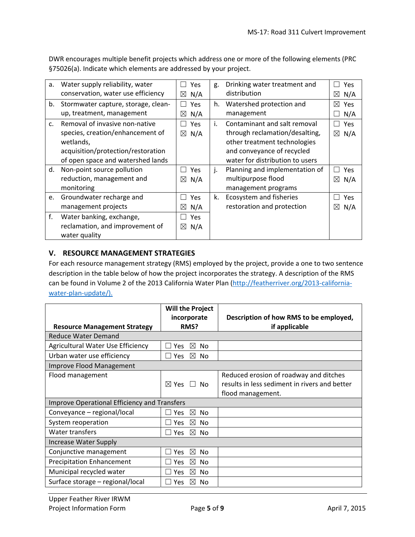DWR encourages multiple benefit projects which address one or more of the following elements (PRC §75026(a). Indicate which elements are addressed by your project.

| а.             | Water supply reliability, water        | Yes                        | g. | Drinking water treatment and    | Yes                       |
|----------------|----------------------------------------|----------------------------|----|---------------------------------|---------------------------|
|                | conservation, water use efficiency     | N/A<br>$\boxtimes$         |    | distribution                    | ⊠<br>N/A                  |
|                | b. Stormwater capture, storage, clean- | <b>Yes</b><br>$\mathsf{L}$ | h. | Watershed protection and        | $\boxtimes$<br><b>Yes</b> |
|                | up, treatment, management              | N/A<br>$\boxtimes$         |    | management                      | N/A                       |
| $\mathsf{C}$ . | Removal of invasive non-native         | Yes                        | i. | Contaminant and salt removal    | <b>Yes</b>                |
|                | species, creation/enhancement of       | $\boxtimes$ N/A            |    | through reclamation/desalting,  | ⊠<br>N/A                  |
|                | wetlands,                              |                            |    | other treatment technologies    |                           |
|                | acquisition/protection/restoration     |                            |    | and conveyance of recycled      |                           |
|                | of open space and watershed lands      |                            |    | water for distribution to users |                           |
| d.             | Non-point source pollution             | Yes                        | j. | Planning and implementation of  | Yes                       |
|                | reduction, management and              | N/A<br>$\boxtimes$         |    | multipurpose flood              | $\boxtimes$<br>N/A        |
|                | monitoring                             |                            |    | management programs             |                           |
| e.             | Groundwater recharge and               | Yes                        | k. | Ecosystem and fisheries         | Yes                       |
|                | management projects                    | N/A<br>$\boxtimes$         |    | restoration and protection      | $\boxtimes$<br>N/A        |
| f.             | Water banking, exchange,               | Yes                        |    |                                 |                           |
|                | reclamation, and improvement of        | N/A<br>$\boxtimes$         |    |                                 |                           |
|                | water quality                          |                            |    |                                 |                           |

### **V. RESOURCE MANAGEMENT STRATEGIES**

For each resource management strategy (RMS) employed by the project, provide a one to two sentence description in the table below of how the project incorporates the strategy. A description of the RMS can be found in Volume 2 of the 2013 California Water Plan (http://featherriver.org/2013-californiawater-plan-update/).

|                                                     | <b>Will the Project</b>         |                                               |
|-----------------------------------------------------|---------------------------------|-----------------------------------------------|
|                                                     | incorporate                     | Description of how RMS to be employed,        |
| <b>Resource Management Strategy</b>                 | RMS?                            | if applicable                                 |
| <b>Reduce Water Demand</b>                          |                                 |                                               |
| Agricultural Water Use Efficiency                   | ⊠<br>N <sub>o</sub><br>Yes      |                                               |
| Urban water use efficiency                          | $\boxtimes$<br>Yes<br>No        |                                               |
| Improve Flood Management                            |                                 |                                               |
| Flood management                                    |                                 | Reduced erosion of roadway and ditches        |
|                                                     | $\boxtimes$ Yes $\Box$ No       | results in less sediment in rivers and better |
|                                                     |                                 | flood management.                             |
| <b>Improve Operational Efficiency and Transfers</b> |                                 |                                               |
| Conveyance - regional/local                         | ⊠<br><b>Yes</b><br>No           |                                               |
| System reoperation                                  | ⊠<br>No<br><b>Yes</b>           |                                               |
| Water transfers                                     | $\boxtimes$<br>No<br><b>Yes</b> |                                               |
| <b>Increase Water Supply</b>                        |                                 |                                               |
| Conjunctive management                              | ⊠<br>No<br><b>Yes</b>           |                                               |
| <b>Precipitation Enhancement</b>                    | ⊠<br>No<br>Yes                  |                                               |
| Municipal recycled water                            | ⊠<br>No<br>Yes                  |                                               |
| Surface storage - regional/local                    | ⊠<br>No<br>Yes.                 |                                               |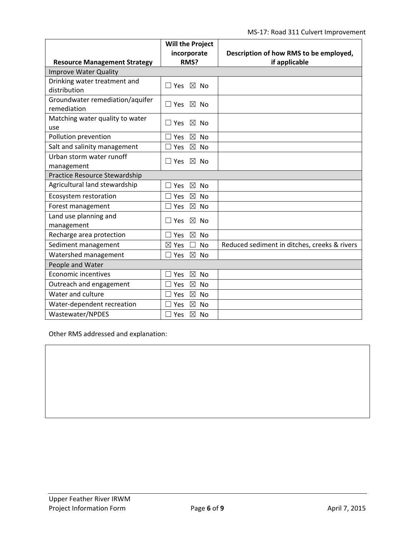|                                     | <b>Will the Project</b>                     |                                              |
|-------------------------------------|---------------------------------------------|----------------------------------------------|
|                                     | incorporate                                 | Description of how RMS to be employed,       |
| <b>Resource Management Strategy</b> | RMS?                                        | if applicable                                |
| <b>Improve Water Quality</b>        |                                             |                                              |
| Drinking water treatment and        | $\Box$ Yes $\boxtimes$ No                   |                                              |
| distribution                        |                                             |                                              |
| Groundwater remediation/aquifer     | $\square$ Yes $\square$ No                  |                                              |
| remediation                         |                                             |                                              |
| Matching water quality to water     | $\boxtimes$ No<br>$\Box$ Yes                |                                              |
| use                                 |                                             |                                              |
| Pollution prevention                | $\boxtimes$<br><b>No</b><br>Yes             |                                              |
| Salt and salinity management        | $\boxtimes$<br>Yes<br><b>No</b>             |                                              |
| Urban storm water runoff            | $\square$ Yes $\square$ No                  |                                              |
| management                          |                                             |                                              |
| Practice Resource Stewardship       |                                             |                                              |
| Agricultural land stewardship       | $\boxtimes$<br><b>No</b><br>Yes             |                                              |
| Ecosystem restoration               | $\boxtimes$<br>$\exists$ Yes<br><b>No</b>   |                                              |
| Forest management                   | $\boxtimes$<br>Yes<br><b>No</b>             |                                              |
| Land use planning and               | $\boxtimes$ No<br>$\Box$ Yes                |                                              |
| management                          |                                             |                                              |
| Recharge area protection            | Yes<br>⊠<br>No                              |                                              |
| Sediment management                 | $\boxtimes$ Yes<br><b>No</b>                | Reduced sediment in ditches, creeks & rivers |
| Watershed management                | $\boxtimes$<br>$\sqsupset$ Yes<br><b>No</b> |                                              |
| People and Water                    |                                             |                                              |
| <b>Economic incentives</b>          | $\boxtimes$<br><b>No</b><br>Yes             |                                              |
| Outreach and engagement             | $\boxtimes$<br>Yes<br><b>No</b>             |                                              |
| Water and culture                   | $\boxtimes$<br><b>No</b><br>Yes             |                                              |
| Water-dependent recreation          | $\boxtimes$<br><b>No</b><br>Yes             |                                              |
| Wastewater/NPDES                    | $\boxtimes$<br>$\exists$ Yes<br><b>No</b>   |                                              |

Other RMS addressed and explanation: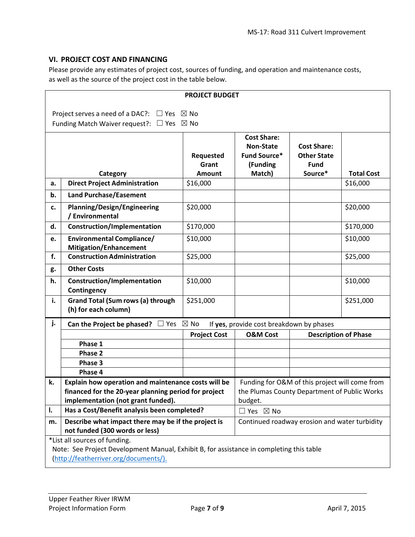#### **VI. PROJECT COST AND FINANCING**

Please provide any estimates of project cost, sources of funding, and operation and maintenance costs, as well as the source of the project cost in the table below.

| <b>PROJECT BUDGET</b> |                                                                                            |                           |                                                                                                |                                   |                   |  |  |
|-----------------------|--------------------------------------------------------------------------------------------|---------------------------|------------------------------------------------------------------------------------------------|-----------------------------------|-------------------|--|--|
|                       | Project serves a need of a DAC?: $\Box$ Yes $\boxtimes$ No                                 |                           |                                                                                                |                                   |                   |  |  |
|                       | Funding Match Waiver request?: $\Box$ Yes $\boxtimes$ No                                   |                           |                                                                                                |                                   |                   |  |  |
|                       | <b>Cost Share:</b><br><b>Cost Share:</b><br><b>Non-State</b>                               |                           |                                                                                                |                                   |                   |  |  |
|                       |                                                                                            | Requested<br>Grant        | <b>Fund Source*</b><br>(Funding                                                                | <b>Other State</b><br><b>Fund</b> | <b>Total Cost</b> |  |  |
| a.                    | Category<br><b>Direct Project Administration</b>                                           | <b>Amount</b><br>\$16,000 | Match)                                                                                         | Source*                           | \$16,000          |  |  |
| b.                    | <b>Land Purchase/Easement</b>                                                              |                           |                                                                                                |                                   |                   |  |  |
|                       |                                                                                            |                           |                                                                                                |                                   |                   |  |  |
| c.                    | <b>Planning/Design/Engineering</b><br>/ Environmental                                      | \$20,000                  |                                                                                                |                                   | \$20,000          |  |  |
| d.                    | <b>Construction/Implementation</b>                                                         | \$170,000                 |                                                                                                |                                   | \$170,000         |  |  |
| e.                    | <b>Environmental Compliance/</b><br><b>Mitigation/Enhancement</b>                          | \$10,000                  |                                                                                                |                                   | \$10,000          |  |  |
| f.                    | <b>Construction Administration</b>                                                         | \$25,000                  |                                                                                                |                                   | \$25,000          |  |  |
| g.                    | <b>Other Costs</b>                                                                         |                           |                                                                                                |                                   |                   |  |  |
| h.                    | <b>Construction/Implementation</b><br>Contingency                                          | \$10,000                  |                                                                                                |                                   | \$10,000          |  |  |
| i.                    | <b>Grand Total (Sum rows (a) through</b><br>(h) for each column)                           | \$251,000                 |                                                                                                |                                   | \$251,000         |  |  |
| j.                    | Can the Project be phased? $\Box$ Yes $\boxtimes$ No                                       |                           | If yes, provide cost breakdown by phases                                                       |                                   |                   |  |  |
|                       |                                                                                            | <b>Project Cost</b>       | <b>O&amp;M Cost</b>                                                                            | <b>Description of Phase</b>       |                   |  |  |
|                       | Phase 1                                                                                    |                           |                                                                                                |                                   |                   |  |  |
|                       | Phase 2                                                                                    |                           |                                                                                                |                                   |                   |  |  |
|                       | Phase 3                                                                                    |                           |                                                                                                |                                   |                   |  |  |
|                       | Phase 4                                                                                    |                           |                                                                                                |                                   |                   |  |  |
| k.                    | Explain how operation and maintenance costs will be                                        |                           | Funding for O&M of this project will come from<br>the Plumas County Department of Public Works |                                   |                   |  |  |
|                       | financed for the 20-year planning period for project<br>implementation (not grant funded). |                           | budget.                                                                                        |                                   |                   |  |  |
| I.                    | Has a Cost/Benefit analysis been completed?                                                |                           | $\Box$ Yes $\boxtimes$ No                                                                      |                                   |                   |  |  |
| m.                    | Describe what impact there may be if the project is                                        |                           | Continued roadway erosion and water turbidity                                                  |                                   |                   |  |  |
|                       | not funded (300 words or less)                                                             |                           |                                                                                                |                                   |                   |  |  |
|                       | *List all sources of funding.                                                              |                           |                                                                                                |                                   |                   |  |  |
|                       | Note: See Project Development Manual, Exhibit B, for assistance in completing this table   |                           |                                                                                                |                                   |                   |  |  |
|                       | (http://featherriver.org/documents/).                                                      |                           |                                                                                                |                                   |                   |  |  |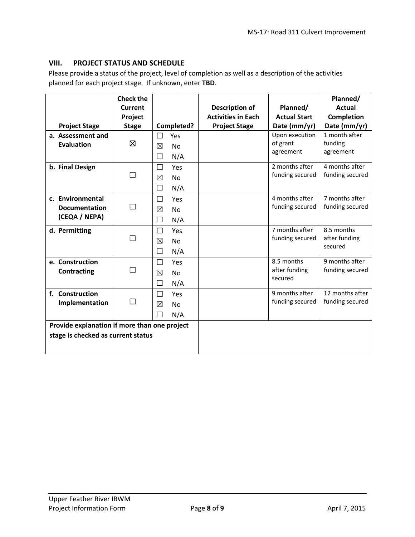### **VIII. PROJECT STATUS AND SCHEDULE**

Please provide a status of the project, level of completion as well as a description of the activities planned for each project stage. If unknown, enter **TBD**.

|                                              | <b>Check the</b> |                          |                           |                     | Planned/        |
|----------------------------------------------|------------------|--------------------------|---------------------------|---------------------|-----------------|
|                                              | Current          |                          | <b>Description of</b>     | Planned/            | <b>Actual</b>   |
|                                              | Project          |                          | <b>Activities in Each</b> | <b>Actual Start</b> | Completion      |
| <b>Project Stage</b>                         | <b>Stage</b>     | Completed?               | <b>Project Stage</b>      | Date (mm/yr)        | Date (mm/yr)    |
| a. Assessment and                            |                  | $\Box$<br><b>Yes</b>     |                           | Upon execution      | 1 month after   |
| <b>Evaluation</b>                            | 区                | ⊠<br><b>No</b>           |                           | of grant            | funding         |
|                                              |                  | N/A<br>□                 |                           | agreement           | agreement       |
| b. Final Design                              |                  | □<br>Yes                 |                           | 2 months after      | 4 months after  |
|                                              | □                | ⊠<br><b>No</b>           |                           | funding secured     | funding secured |
|                                              |                  | N/A<br>$\Box$            |                           |                     |                 |
| c. Environmental                             |                  | $\Box$<br>Yes            |                           | 4 months after      | 7 months after  |
| <b>Documentation</b>                         | □                | $\boxtimes$<br><b>No</b> |                           | funding secured     | funding secured |
| (CEQA / NEPA)                                |                  | N/A<br>П                 |                           |                     |                 |
| d. Permitting                                |                  | $\Box$<br>Yes            |                           | 7 months after      | 8.5 months      |
|                                              | □                | ⊠<br>No                  |                           | funding secured     | after funding   |
|                                              |                  | N/A<br>$\Box$            |                           |                     | secured         |
| e. Construction                              |                  | $\Box$<br>Yes            |                           | 8.5 months          | 9 months after  |
| Contracting                                  | П                | ⊠<br><b>No</b>           |                           | after funding       | funding secured |
|                                              |                  | N/A<br>н                 |                           | secured             |                 |
| f. Construction                              |                  | $\Box$<br>Yes            |                           | 9 months after      | 12 months after |
| Implementation                               | □                | $\boxtimes$<br><b>No</b> |                           | funding secured     | funding secured |
|                                              |                  |                          |                           |                     |                 |
|                                              |                  | N/A                      |                           |                     |                 |
| Provide explanation if more than one project |                  |                          |                           |                     |                 |
| stage is checked as current status           |                  |                          |                           |                     |                 |
|                                              |                  |                          |                           |                     |                 |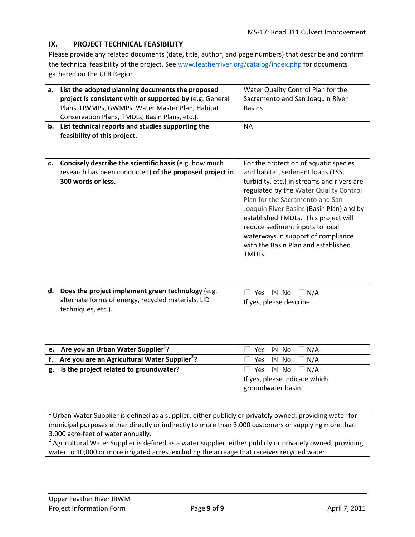## **IX. PROJECT TECHNICAL FEASIBILITY**

Please provide any related documents (date, title, author, and page numbers) that describe and confirm the technical feasibility of the project. See www.featherriver.org/catalog/index.php for documents gathered on the UFR Region.

| a.       | List the adopted planning documents the proposed                                                                                                                                                                                                                                                                                                                                   | Water Quality Control Plan for the                        |
|----------|------------------------------------------------------------------------------------------------------------------------------------------------------------------------------------------------------------------------------------------------------------------------------------------------------------------------------------------------------------------------------------|-----------------------------------------------------------|
|          | project is consistent with or supported by (e.g. General                                                                                                                                                                                                                                                                                                                           | Sacramento and San Joaquin River                          |
|          | Plans, UWMPs, GWMPs, Water Master Plan, Habitat                                                                                                                                                                                                                                                                                                                                    | <b>Basins</b>                                             |
|          | Conservation Plans, TMDLs, Basin Plans, etc.).                                                                                                                                                                                                                                                                                                                                     |                                                           |
|          | b. List technical reports and studies supporting the                                                                                                                                                                                                                                                                                                                               | <b>NA</b>                                                 |
|          | feasibility of this project.                                                                                                                                                                                                                                                                                                                                                       |                                                           |
|          |                                                                                                                                                                                                                                                                                                                                                                                    |                                                           |
|          |                                                                                                                                                                                                                                                                                                                                                                                    |                                                           |
| c.       | Concisely describe the scientific basis (e.g. how much                                                                                                                                                                                                                                                                                                                             | For the protection of aquatic species                     |
|          | research has been conducted) of the proposed project in                                                                                                                                                                                                                                                                                                                            | and habitat, sediment loads (TSS,                         |
|          | 300 words or less.                                                                                                                                                                                                                                                                                                                                                                 | turbidity, etc.) in streams and rivers are                |
|          |                                                                                                                                                                                                                                                                                                                                                                                    | regulated by the Water Quality Control                    |
|          |                                                                                                                                                                                                                                                                                                                                                                                    | Plan for the Sacramento and San                           |
|          |                                                                                                                                                                                                                                                                                                                                                                                    | Joaquin River Basins (Basin Plan) and by                  |
|          |                                                                                                                                                                                                                                                                                                                                                                                    | established TMDLs. This project will                      |
|          |                                                                                                                                                                                                                                                                                                                                                                                    | reduce sediment inputs to local                           |
|          |                                                                                                                                                                                                                                                                                                                                                                                    | waterways in support of compliance                        |
|          |                                                                                                                                                                                                                                                                                                                                                                                    | with the Basin Plan and established                       |
|          |                                                                                                                                                                                                                                                                                                                                                                                    | TMDLs.                                                    |
|          |                                                                                                                                                                                                                                                                                                                                                                                    |                                                           |
|          |                                                                                                                                                                                                                                                                                                                                                                                    |                                                           |
| d.       | Does the project implement green technology (e.g.                                                                                                                                                                                                                                                                                                                                  |                                                           |
|          | alternate forms of energy, recycled materials, LID                                                                                                                                                                                                                                                                                                                                 | $\Box$ Yes $\boxtimes$ No $\Box$ N/A                      |
|          | techniques, etc.).                                                                                                                                                                                                                                                                                                                                                                 | If yes, please describe.                                  |
|          |                                                                                                                                                                                                                                                                                                                                                                                    |                                                           |
|          |                                                                                                                                                                                                                                                                                                                                                                                    |                                                           |
|          |                                                                                                                                                                                                                                                                                                                                                                                    |                                                           |
|          | Are you an Urban Water Supplier <sup>1</sup> ?                                                                                                                                                                                                                                                                                                                                     |                                                           |
| e.<br>f. | Are you are an Agricultural Water Supplier <sup>2</sup> ?                                                                                                                                                                                                                                                                                                                          | $\boxtimes$<br>No<br>N/A<br>Yes<br>$\boxtimes$<br>$\perp$ |
|          |                                                                                                                                                                                                                                                                                                                                                                                    | N/A<br>Yes<br>No                                          |
| g.       | Is the project related to groundwater?                                                                                                                                                                                                                                                                                                                                             | $\boxtimes$ No<br>$\Box N/A$<br>$\Box$ Yes                |
|          |                                                                                                                                                                                                                                                                                                                                                                                    | If yes, please indicate which                             |
|          |                                                                                                                                                                                                                                                                                                                                                                                    | groundwater basin.                                        |
|          |                                                                                                                                                                                                                                                                                                                                                                                    |                                                           |
|          |                                                                                                                                                                                                                                                                                                                                                                                    |                                                           |
|          |                                                                                                                                                                                                                                                                                                                                                                                    |                                                           |
|          |                                                                                                                                                                                                                                                                                                                                                                                    |                                                           |
|          |                                                                                                                                                                                                                                                                                                                                                                                    |                                                           |
|          | $1$ Urban Water Supplier is defined as a supplier, either publicly or privately owned, providing water for<br>municipal purposes either directly or indirectly to more than 3,000 customers or supplying more than<br>3,000 acre-feet of water annually.<br><sup>2</sup> Agricultural Water Supplier is defined as a water supplier, either publicly or privately owned, providing |                                                           |

water to 10,000 or more irrigated acres, excluding the acreage that receives recycled water.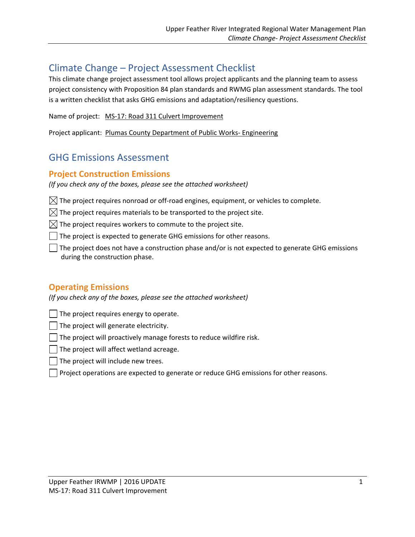# Climate Change – Project Assessment Checklist

This climate change project assessment tool allows project applicants and the planning team to assess project consistency with Proposition 84 plan standards and RWMG plan assessment standards. The tool is a written checklist that asks GHG emissions and adaptation/resiliency questions.

Name of project: MS‐17: Road 311 Culvert Improvement

Project applicant: Plumas County Department of Public Works‐ Engineering

# GHG Emissions Assessment

# **Project Construction Emissions**

*(If you check any of the boxes, please see the attached worksheet)*

 $\boxtimes$  The project requires nonroad or off-road engines, equipment, or vehicles to complete.

 $\boxtimes$  The project requires materials to be transported to the project site.

 $\boxtimes$  The project requires workers to commute to the project site.

The project is expected to generate GHG emissions for other reasons.

The project does not have a construction phase and/or is not expected to generate GHG emissions during the construction phase.

# **Operating Emissions**

*(If you check any of the boxes, please see the attached worksheet)*

The project requires energy to operate.

The project will generate electricity.

The project will proactively manage forests to reduce wildfire risk.

The project will affect wetland acreage.

The project will include new trees.

Project operations are expected to generate or reduce GHG emissions for other reasons.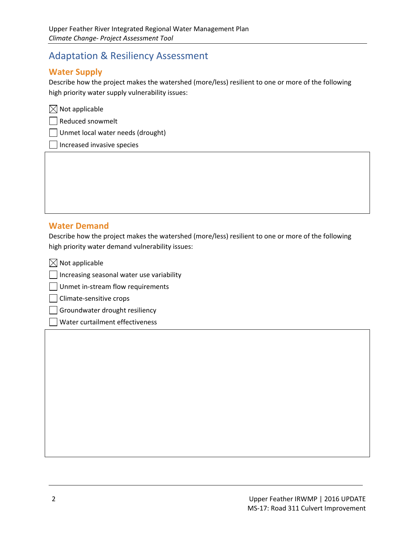# Adaptation & Resiliency Assessment

# **Water Supply**

Describe how the project makes the watershed (more/less) resilient to one or more of the following high priority water supply vulnerability issues:

|  | $\times$ Not applicable |  |
|--|-------------------------|--|
|  |                         |  |

Reduced snowmelt

Unmet local water needs (drought)

Increased invasive species

# **Water Demand**

Describe how the project makes the watershed (more/less) resilient to one or more of the following high priority water demand vulnerability issues:

<u> 1989 - Andrea Barbara, amerikana amerikana amerikana amerikana amerikana amerikana amerikana amerikana amerik</u>

 $\boxtimes$  Not applicable

Increasing seasonal water use variability

Unmet in-stream flow requirements

Climate‐sensitive crops

Groundwater drought resiliency

Water curtailment effectiveness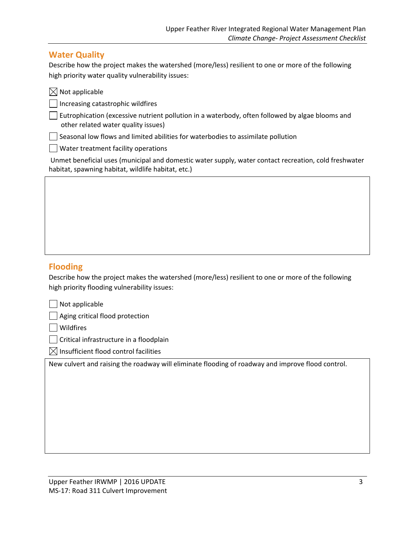# **Water Quality**

Describe how the project makes the watershed (more/less) resilient to one or more of the following high priority water quality vulnerability issues:

| $\boxtimes$ Not applicable                                                                                                                                  |
|-------------------------------------------------------------------------------------------------------------------------------------------------------------|
| Increasing catastrophic wildfires                                                                                                                           |
| Eutrophication (excessive nutrient pollution in a waterbody, often followed by algae blooms and<br>other related water quality issues)                      |
| Seasonal low flows and limited abilities for waterbodies to assimilate pollution                                                                            |
| $\vert$ $\vert$ Water treatment facility operations                                                                                                         |
| Unmet beneficial uses (municipal and domestic water supply, water contact recreation, cold freshwater<br>habitat, spawning habitat, wildlife habitat, etc.) |

## **Flooding**

Describe how the project makes the watershed (more/less) resilient to one or more of the following high priority flooding vulnerability issues:

Aging critical flood protection

Wildfires

Critical infrastructure in a floodplain

 $\boxtimes$  Insufficient flood control facilities

New culvert and raising the roadway will eliminate flooding of roadway and improve flood control.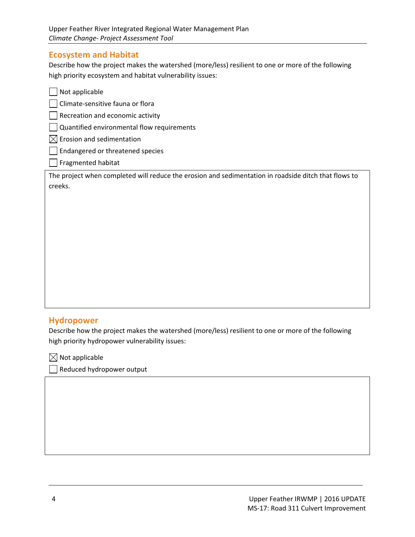## **Ecosystem and Habitat**

Describe how the project makes the watershed (more/less) resilient to one or more of the following high priority ecosystem and habitat vulnerability issues:

| Not applicable                                                                                       |
|------------------------------------------------------------------------------------------------------|
| Climate-sensitive fauna or flora                                                                     |
| Recreation and economic activity                                                                     |
| Quantified environmental flow requirements                                                           |
| Erosion and sedimentation<br>IХI                                                                     |
| Endangered or threatened species                                                                     |
| Fragmented habitat                                                                                   |
| The project when completed will reduce the erosion and sedimentation in roadside ditch that flows to |
| creeks.                                                                                              |
|                                                                                                      |
|                                                                                                      |
|                                                                                                      |
|                                                                                                      |
|                                                                                                      |
|                                                                                                      |
|                                                                                                      |
|                                                                                                      |

## **Hydropower**

Describe how the project makes the watershed (more/less) resilient to one or more of the following high priority hydropower vulnerability issues:

<u> 1989 - Andrea Barbara, amerikana amerikana amerikana amerikana amerikana amerikana amerikana amerikana amerik</u>

 $\boxtimes$  Not applicable

Reduced hydropower output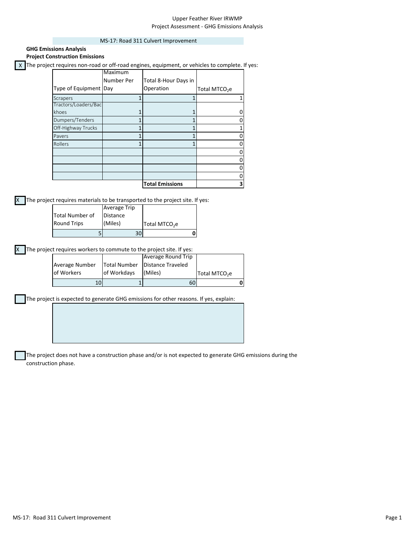#### Upper Feather River IRWMP Project Assessment ‐ GHG Emissions Analysis

#### MS‐17: Road 311 Culvert Improvement

| <b>Project Construction Emissions</b> |            |                                                                                                  |                           |
|---------------------------------------|------------|--------------------------------------------------------------------------------------------------|---------------------------|
|                                       |            | X The project requires non-road or off-road engines, equipment, or vehicles to complete. If yes: |                           |
|                                       | Maximum    |                                                                                                  |                           |
|                                       | Number Per | Total 8-Hour Days in                                                                             |                           |
| Type of Equipment Day                 |            | Operation                                                                                        | Total MTCO <sub>2</sub> e |
| Scrapers                              |            |                                                                                                  |                           |
| Tractors/Loaders/Bac                  |            |                                                                                                  |                           |
| khoes                                 |            |                                                                                                  |                           |
| Dumpers/Tenders                       |            |                                                                                                  |                           |
| Off-Highway Trucks                    |            |                                                                                                  |                           |
| Pavers                                |            |                                                                                                  |                           |
| Rollers                               |            |                                                                                                  |                           |
|                                       |            |                                                                                                  |                           |
|                                       |            |                                                                                                  |                           |
|                                       |            |                                                                                                  |                           |
|                                       |            |                                                                                                  |                           |
|                                       |            | <b>Total Emissions</b>                                                                           | 3                         |

The project requires materials to be transported to the project site. If yes:

**GHG Emissions Analysis**

|                    | 30I                 |                           |  |
|--------------------|---------------------|---------------------------|--|
| <b>Round Trips</b> | (Miles)             | Total MTCO <sub>2</sub> e |  |
| Total Number of    | <b>Distance</b>     |                           |  |
|                    | <b>Average Trip</b> |                           |  |

X The project requires workers to commute to the project site. If yes:

|                |                     | Average Round Trip       |                           |  |
|----------------|---------------------|--------------------------|---------------------------|--|
| Average Number | <b>Total Number</b> | <b>Distance Traveled</b> |                           |  |
| of Workers     | of Workdays         | (Miles)                  | Total MTCO <sub>2</sub> e |  |
| 10             |                     | 60I                      |                           |  |

The project is expected to generate GHG emissions for other reasons. If yes, explain:

The project does not have a construction phase and/or is not expected to generate GHG emissions during the construction phase.